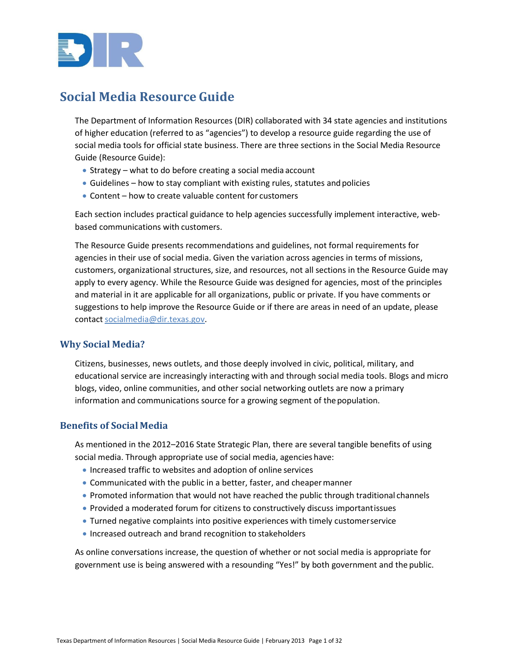

# <span id="page-0-0"></span>**Social Media Resource Guide**

The Department of Information Resources (DIR) collaborated with 34 state agencies and institutions of higher education (referred to as "agencies") to develop a resource guide regarding the use of social media tools for official state business. There are three sections in the Social Media Resource Guide (Resource Guide):

- Strategy what to do before creating a social media account
- Guidelines how to stay compliant with existing rules, statutes and policies
- Content how to create valuable content for customers

Each section includes practical guidance to help agencies successfully implement interactive, webbased communications with customers.

The Resource Guide presents recommendations and guidelines, not formal requirements for agencies in their use of social media. Given the variation across agencies in terms of missions, customers, organizational structures, size, and resources, not all sections in the Resource Guide may apply to every agency. While the Resource Guide was designed for agencies, most of the principles and material in it are applicable for all organizations, public or private. If you have comments or suggestions to help improve the Resource Guide or if there are areas in need of an update, please contact [socialmedia@dir.texas.gov.](mailto:socialmedia@dir.texas.gov)

# **Why Social Media?**

Citizens, businesses, news outlets, and those deeply involved in civic, political, military, and educational service are increasingly interacting with and through social media tools. Blogs and micro blogs, video, online communities, and other social networking outlets are now a primary information and communications source for a growing segment of the population.

## **Benefits of Social Media**

As mentioned in the 2012–2016 State Strategic Plan, there are several tangible benefits of using social media. Through appropriate use of social media, agencies have:

- Increased traffic to websites and adoption of online services
- Communicated with the public in a better, faster, and cheapermanner
- Promoted information that would not have reached the public through traditional channels
- Provided a moderated forum for citizens to constructively discuss importantissues
- Turned negative complaints into positive experiences with timely customerservice
- Increased outreach and brand recognition to stakeholders

As online conversations increase, the question of whether or not social media is appropriate for government use is being answered with a resounding "Yes!" by both government and the public.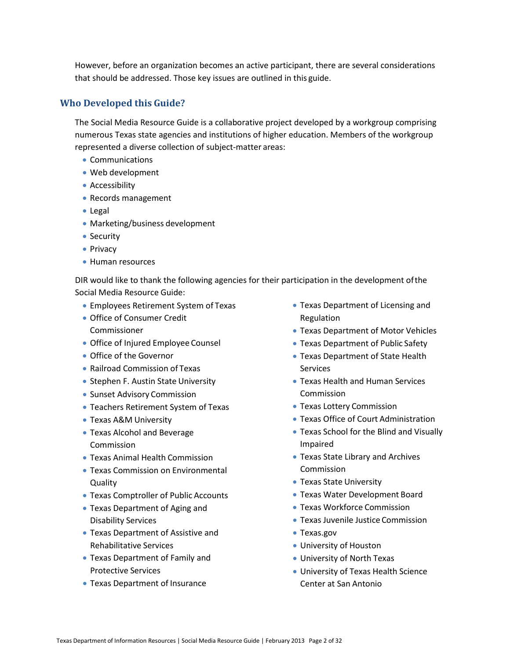However, before an organization becomes an active participant, there are several considerations that should be addressed. Those key issues are outlined in this guide.

# **Who Developed this Guide?**

The Social Media Resource Guide is a collaborative project developed by a workgroup comprising numerous Texas state agencies and institutions of higher education. Members of the workgroup represented a diverse collection of subject-matter areas:

- Communications
- Web development
- Accessibility
- Records management
- Legal
- Marketing/business development
- Security
- Privacy
- Human resources

DIR would like to thank the following agencies for their participation in the development ofthe Social Media Resource Guide:

- Employees Retirement System of Texas
- Office of Consumer Credit Commissioner
- Office of Injured Employee Counsel
- Office of the Governor
- Railroad Commission of Texas
- Stephen F. Austin State University
- Sunset Advisory Commission
- Teachers Retirement System of Texas
- Texas A&M University
- Texas Alcohol and Beverage Commission
- Texas Animal Health Commission
- Texas Commission on Environmental **Quality**
- Texas Comptroller of Public Accounts
- Texas Department of Aging and Disability Services
- Texas Department of Assistive and Rehabilitative Services
- Texas Department of Family and Protective Services
- Texas Department of Insurance
- Texas Department of Licensing and Regulation
- Texas Department of Motor Vehicles
- Texas Department of Public Safety
- Texas Department of State Health Services
- Texas Health and Human Services Commission
- Texas Lottery Commission
- Texas Office of Court Administration
- Texas School for the Blind and Visually Impaired
- Texas State Library and Archives Commission
- Texas State University
- Texas Water Development Board
- Texas Workforce Commission
- Texas Juvenile Justice Commission
- Texas.gov
- University of Houston
- University of North Texas
- University of Texas Health Science Center at San Antonio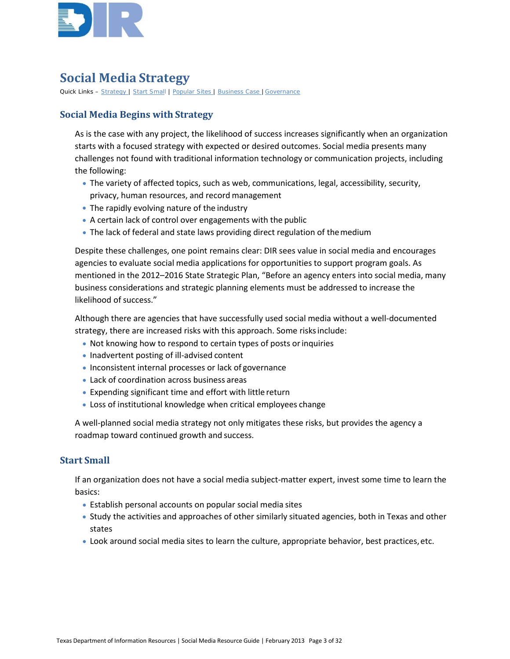

# **Social Media Strategy**

Quick Links – [Strategy |](#page-0-0) [Start Small](#page-2-0) | [Popular Sites |](#page-3-0) [Business Case |](#page-3-1)[Governance](#page-7-0)

# **Social Media Begins with Strategy**

As is the case with any project, the likelihood of success increases significantly when an organization starts with a focused strategy with expected or desired outcomes. Social media presents many challenges not found with traditional information technology or communication projects, including the following:

- The variety of affected topics, such as web, communications, legal, accessibility, security, privacy, human resources, and record management
- The rapidly evolving nature of the industry
- A certain lack of control over engagements with the public
- The lack of federal and state laws providing direct regulation of themedium

Despite these challenges, one point remains clear: DIR sees value in social media and encourages agencies to evaluate social media applications for opportunities to support program goals. As mentioned in the 2012–2016 State Strategic Plan, "Before an agency enters into social media, many business considerations and strategic planning elements must be addressed to increase the likelihood of success."

Although there are agencies that have successfully used social media without a well-documented strategy, there are increased risks with this approach. Some risksinclude:

- Not knowing how to respond to certain types of posts or inquiries
- Inadvertent posting of ill-advised content
- Inconsistent internal processes or lack of governance
- Lack of coordination across business areas
- Expending significant time and effort with little return
- Loss of institutional knowledge when critical employees change

A well-planned social media strategy not only mitigates these risks, but provides the agency a roadmap toward continued growth and success.

# <span id="page-2-0"></span>**Start Small**

If an organization does not have a social media subject-matter expert, invest some time to learn the basics:

- Establish personal accounts on popular social media sites
- Study the activities and approaches of other similarly situated agencies, both in Texas and other states
- Look around social media sites to learn the culture, appropriate behavior, best practices,etc.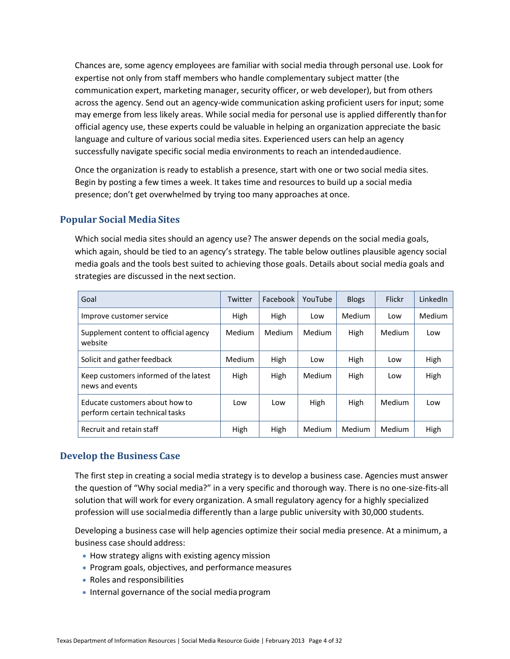Chances are, some agency employees are familiar with social media through personal use. Look for expertise not only from staff members who handle complementary subject matter (the communication expert, marketing manager, security officer, or web developer), but from others across the agency. Send out an agency-wide communication asking proficient users for input; some may emerge from less likely areas. While social media for personal use is applied differently thanfor official agency use, these experts could be valuable in helping an organization appreciate the basic language and culture of various social media sites. Experienced users can help an agency successfully navigate specific social media environments to reach an intendedaudience.

Once the organization is ready to establish a presence, start with one or two social media sites. Begin by posting a few times a week. It takes time and resources to build up a social media presence; don't get overwhelmed by trying too many approaches at once.

# <span id="page-3-0"></span>**Popular Social Media Sites**

Which social media sites should an agency use? The answer depends on the social media goals, which again, should be tied to an agency's strategy. The table below outlines plausible agency social media goals and the tools best suited to achieving those goals. Details about social media goals and strategies are discussed in the next section.

| Goal                                                              | Twitter | Facebook I | YouTube | <b>Blogs</b> | Flickr        | LinkedIn |
|-------------------------------------------------------------------|---------|------------|---------|--------------|---------------|----------|
| Improve customer service                                          | High    | High       | Low     | Medium       | Low           | Medium   |
| Supplement content to official agency<br>website                  | Medium  | Medium     | Medium  | High         | <b>Medium</b> | Low      |
| Solicit and gather feedback                                       | Medium  | High       | Low     | High         | Low           | High     |
| Keep customers informed of the latest<br>news and events          | High    | High       | Medium  | High         | Low           | High     |
| Educate customers about how to<br>perform certain technical tasks | Low     | Low        | High    | High         | Medium        | Low      |
| Recruit and retain staff                                          | High    | High       | Medium  | Medium       | Medium        | High     |

# <span id="page-3-1"></span>**Develop the Business Case**

The first step in creating a social media strategy is to develop a business case. Agencies must answer the question of "Why social media?" in a very specific and thorough way. There is no one-size-fits-all solution that will work for every organization. A small regulatory agency for a highly specialized profession will use socialmedia differently than a large public university with 30,000 students.

Developing a business case will help agencies optimize their social media presence. At a minimum, a business case should address:

- How strategy aligns with existing agency mission
- Program goals, objectives, and performance measures
- Roles and responsibilities
- Internal governance of the social media program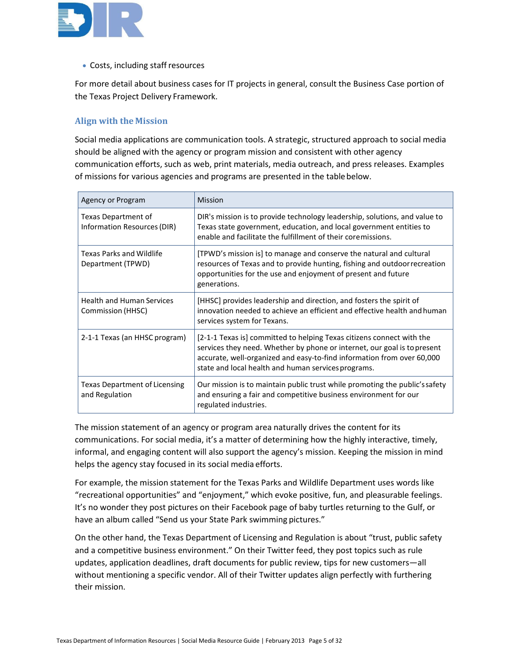

• Costs, including staff resources

For more detail about business cases for IT projects in general, consult the Business Case portion of the Texas Project Delivery Framework.

# **Align with the Mission**

Social media applications are communication tools. A strategic, structured approach to social media should be aligned with the agency or program mission and consistent with other agency communication efforts, such as web, print materials, media outreach, and press releases. Examples of missions for various agencies and programs are presented in the tablebelow.

| Agency or Program                                      | <b>Mission</b>                                                                                                                                                                                                                                                                     |
|--------------------------------------------------------|------------------------------------------------------------------------------------------------------------------------------------------------------------------------------------------------------------------------------------------------------------------------------------|
| Texas Department of<br>Information Resources (DIR)     | DIR's mission is to provide technology leadership, solutions, and value to<br>Texas state government, education, and local government entities to<br>enable and facilitate the fulfillment of their coremissions.                                                                  |
| Texas Parks and Wildlife<br>Department (TPWD)          | [TPWD's mission is] to manage and conserve the natural and cultural<br>resources of Texas and to provide hunting, fishing and outdoor recreation<br>opportunities for the use and enjoyment of present and future<br>generations.                                                  |
| <b>Health and Human Services</b><br>Commission (HHSC)  | [HHSC] provides leadership and direction, and fosters the spirit of<br>innovation needed to achieve an efficient and effective health and human<br>services system for Texans.                                                                                                     |
| 2-1-1 Texas (an HHSC program)                          | [2-1-1 Texas is] committed to helping Texas citizens connect with the<br>services they need. Whether by phone or internet, our goal is to present<br>accurate, well-organized and easy-to-find information from over 60,000<br>state and local health and human services programs. |
| <b>Texas Department of Licensing</b><br>and Regulation | Our mission is to maintain public trust while promoting the public's safety<br>and ensuring a fair and competitive business environment for our<br>regulated industries.                                                                                                           |

The mission statement of an agency or program area naturally drives the content for its communications. For social media, it's a matter of determining how the highly interactive, timely, informal, and engaging content will also support the agency's mission. Keeping the mission in mind helps the agency stay focused in its social media efforts.

For example, the mission statement for the Texas Parks and Wildlife Department uses words like "recreational opportunities" and "enjoyment," which evoke positive, fun, and pleasurable feelings. It's no wonder they post pictures on their Facebook page of baby turtles returning to the Gulf, or have an album called "Send us your State Park swimming pictures."

On the other hand, the Texas Department of Licensing and Regulation is about "trust, public safety and a competitive business environment." On their Twitter feed, they post topics such as rule updates, application deadlines, draft documents for public review, tips for new customers—all without mentioning a specific vendor. All of their Twitter updates align perfectly with furthering their mission.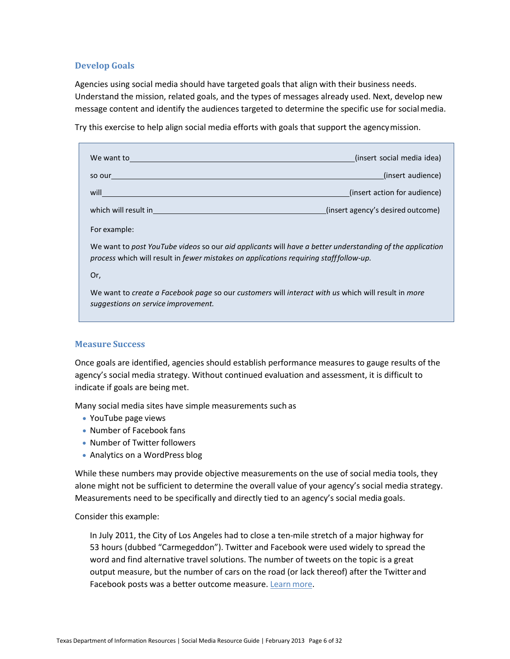## **Develop Goals**

Agencies using social media should have targeted goals that align with their business needs. Understand the mission, related goals, and the types of messages already used. Next, develop new message content and identify the audiences targeted to determine the specific use for socialmedia.

Try this exercise to help align social media efforts with goals that support the agencymission.

| We want to the same way                                                                                                                                                                           | (insert social media idea)        |  |
|---------------------------------------------------------------------------------------------------------------------------------------------------------------------------------------------------|-----------------------------------|--|
| so our                                                                                                                                                                                            | (insert audience)                 |  |
| will                                                                                                                                                                                              | (insert action for audience)      |  |
| which will result in                                                                                                                                                                              | (insert agency's desired outcome) |  |
| For example:                                                                                                                                                                                      |                                   |  |
| We want to post YouTube videos so our aid applicants will have a better understanding of the application<br>process which will result in fewer mistakes on applications requiring stafffollow-up. |                                   |  |

Or,

We want to *create a Facebook page* so our *customers* will *interact with us* which will result in *more suggestions on service improvement.*

#### **Measure Success**

Once goals are identified, agencies should establish performance measures to gauge results of the agency's social media strategy. Without continued evaluation and assessment, it is difficult to indicate if goals are being met.

Many social media sites have simple measurements such as

- YouTube page views
- Number of Facebook fans
- Number of Twitter followers
- Analytics on a WordPress blog

While these numbers may provide objective measurements on the use of social media tools, they alone might not be sufficient to determine the overall value of your agency's social media strategy. Measurements need to be specifically and directly tied to an agency's social media goals.

Consider this example:

In July 2011, the City of Los Angeles had to close a ten-mile stretch of a major highway for 53 hours (dubbed "Carmegeddon"). Twitter and Facebook were used widely to spread the word and find alternative travel solutions. The number of tweets on the topic is a great output measure, but the number of cars on the road (or lack thereof) after the Twitter and Facebook posts was a better outcome measure[. Learn](http://latimesblogs.latimes.com/lanow/2011/07/carmageddon-lapd-thanks-celebrities-to-twitter-help.html) more.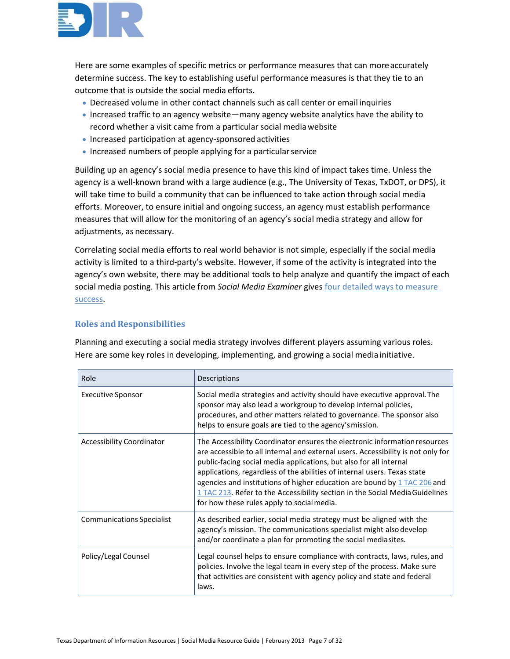

Here are some examples of specific metrics or performance measures that can moreaccurately determine success. The key to establishing useful performance measures is that they tie to an outcome that is outside the social media efforts.

- Decreased volume in other contact channels such as call center or email inquiries
- Increased traffic to an agency website—many agency website analytics have the ability to record whether a visit came from a particular social mediawebsite
- Increased participation at agency-sponsored activities
- Increased numbers of people applying for a particularservice

Building up an agency's social media presence to have this kind of impact takes time. Unless the agency is a well-known brand with a large audience (e.g., The University of Texas, TxDOT, or DPS), it will take time to build a community that can be influenced to take action through social media efforts. Moreover, to ensure initial and ongoing success, an agency must establish performance measures that will allow for the monitoring of an agency's social media strategy and allow for adjustments, as necessary.

Correlating social media efforts to real world behavior is not simple, especially if the social media activity is limited to a third-party's website. However, if some of the activity is integrated into the agency's own website, there may be additional tools to help analyze and quantify the impact of each social media posting. This article from *Social Media Examiner* gives [four detailed ways to measure](http://www.socialmediaexaminer.com/measure-social-media-with-free-tools/)  [success.](http://www.socialmediaexaminer.com/measure-social-media-with-free-tools/)

# **Roles and Responsibilities**

Planning and executing a social media strategy involves different players assuming various roles. Here are some key roles in developing, implementing, and growing a social media initiative.

| Role                             | Descriptions                                                                                                                                                                                                                                                                                                                                                                                                                                                                                                                 |
|----------------------------------|------------------------------------------------------------------------------------------------------------------------------------------------------------------------------------------------------------------------------------------------------------------------------------------------------------------------------------------------------------------------------------------------------------------------------------------------------------------------------------------------------------------------------|
| <b>Executive Sponsor</b>         | Social media strategies and activity should have executive approval. The<br>sponsor may also lead a workgroup to develop internal policies,<br>procedures, and other matters related to governance. The sponsor also<br>helps to ensure goals are tied to the agency's mission.                                                                                                                                                                                                                                              |
| <b>Accessibility Coordinator</b> | The Accessibility Coordinator ensures the electronic information resources<br>are accessible to all internal and external users. Accessibility is not only for<br>public-facing social media applications, but also for all internal<br>applications, regardless of the abilities of internal users. Texas state<br>agencies and institutions of higher education are bound by $1$ TAC 206 and<br>1 TAC 213. Refer to the Accessibility section in the Social Media Guidelines<br>for how these rules apply to social media. |
| <b>Communications Specialist</b> | As described earlier, social media strategy must be aligned with the<br>agency's mission. The communications specialist might also develop<br>and/or coordinate a plan for promoting the social mediasites.                                                                                                                                                                                                                                                                                                                  |
| Policy/Legal Counsel             | Legal counsel helps to ensure compliance with contracts, laws, rules, and<br>policies. Involve the legal team in every step of the process. Make sure<br>that activities are consistent with agency policy and state and federal<br>laws.                                                                                                                                                                                                                                                                                    |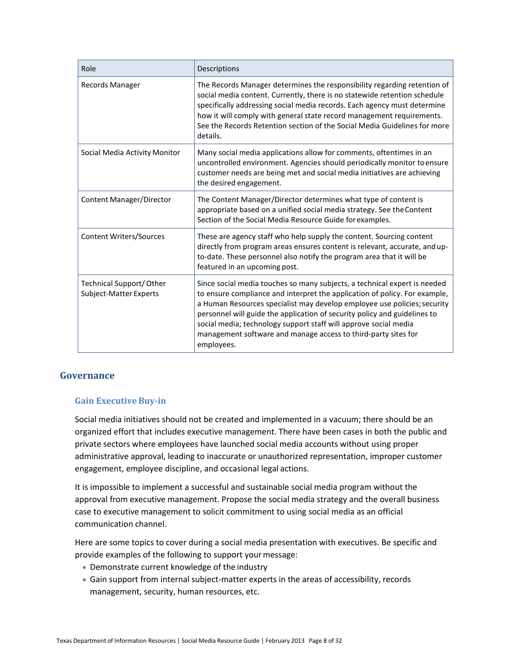| Role                                                     | Descriptions                                                                                                                                                                                                                                                                                                                                                                                                                                                         |
|----------------------------------------------------------|----------------------------------------------------------------------------------------------------------------------------------------------------------------------------------------------------------------------------------------------------------------------------------------------------------------------------------------------------------------------------------------------------------------------------------------------------------------------|
| Records Manager                                          | The Records Manager determines the responsibility regarding retention of<br>social media content. Currently, there is no statewide retention schedule<br>specifically addressing social media records. Each agency must determine<br>how it will comply with general state record management requirements.<br>See the Records Retention section of the Social Media Guidelines for more<br>details.                                                                  |
| Social Media Activity Monitor                            | Many social media applications allow for comments, oftentimes in an<br>uncontrolled environment. Agencies should periodically monitor to ensure<br>customer needs are being met and social media initiatives are achieving<br>the desired engagement.                                                                                                                                                                                                                |
| Content Manager/Director                                 | The Content Manager/Director determines what type of content is<br>appropriate based on a unified social media strategy. See the Content<br>Section of the Social Media Resource Guide for examples.                                                                                                                                                                                                                                                                 |
| <b>Content Writers/Sources</b>                           | These are agency staff who help supply the content. Sourcing content<br>directly from program areas ensures content is relevant, accurate, and up-<br>to-date. These personnel also notify the program area that it will be<br>featured in an upcoming post.                                                                                                                                                                                                         |
| <b>Technical Support/Other</b><br>Subject-Matter Experts | Since social media touches so many subjects, a technical expert is needed<br>to ensure compliance and interpret the application of policy. For example,<br>a Human Resources specialist may develop employee use policies; security<br>personnel will guide the application of security policy and guidelines to<br>social media; technology support staff will approve social media<br>management software and manage access to third-party sites for<br>employees. |

# <span id="page-7-0"></span>**Governance**

# **Gain Executive Buy-in**

Social media initiatives should not be created and implemented in a vacuum; there should be an organized effort that includes executive management. There have been cases in both the public and private sectors where employees have launched social media accounts without using proper administrative approval, leading to inaccurate or unauthorized representation, improper customer engagement, employee discipline, and occasional legal actions.

It is impossible to implement a successful and sustainable social media program without the approval from executive management. Propose the social media strategy and the overall business case to executive management to solicit commitment to using social media as an official communication channel.

Here are some topics to cover during a social media presentation with executives. Be specific and provide examples of the following to support yourmessage:

- Demonstrate current knowledge of the industry
- Gain support from internal subject-matter experts in the areas of accessibility, records management, security, human resources, etc.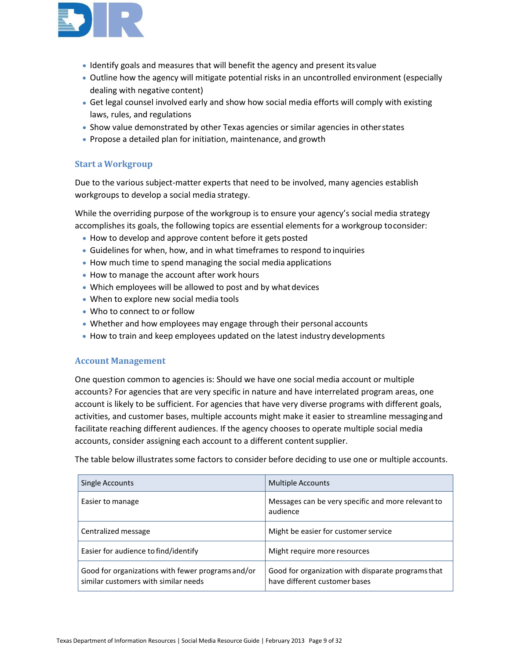

- Identify goals and measures that will benefit the agency and present its value
- Outline how the agency will mitigate potential risks in an uncontrolled environment (especially dealing with negative content)
- Get legal counsel involved early and show how social media efforts will comply with existing laws, rules, and regulations
- Show value demonstrated by other Texas agencies or similar agencies in otherstates
- Propose a detailed plan for initiation, maintenance, and growth

# **Start a Workgroup**

Due to the various subject-matter experts that need to be involved, many agencies establish workgroups to develop a social media strategy.

While the overriding purpose of the workgroup is to ensure your agency's social media strategy accomplishes its goals, the following topics are essential elements for a workgroup toconsider:

- How to develop and approve content before it gets posted
- Guidelines for when, how, and in what timeframes to respond to inquiries
- How much time to spend managing the social media applications
- How to manage the account after work hours
- Which employees will be allowed to post and by what devices
- When to explore new social media tools
- Who to connect to or follow
- Whether and how employees may engage through their personal accounts
- How to train and keep employees updated on the latest industry developments

#### **Account Management**

One question common to agencies is: Should we have one social media account or multiple accounts? For agencies that are very specific in nature and have interrelated program areas, one account is likely to be sufficient. For agencies that have very diverse programs with different goals, activities, and customer bases, multiple accounts might make it easier to streamline messagingand facilitate reaching different audiences. If the agency chooses to operate multiple social media accounts, consider assigning each account to a different content supplier.

The table below illustrates some factors to consider before deciding to use one or multiple accounts.

| Single Accounts                                                                           | <b>Multiple Accounts</b>                                                            |
|-------------------------------------------------------------------------------------------|-------------------------------------------------------------------------------------|
| Easier to manage                                                                          | Messages can be very specific and more relevant to<br>audience                      |
| Centralized message                                                                       | Might be easier for customer service                                                |
| Easier for audience to find/identify                                                      | Might require more resources                                                        |
| Good for organizations with fewer programs and/or<br>similar customers with similar needs | Good for organization with disparate programs that<br>have different customer bases |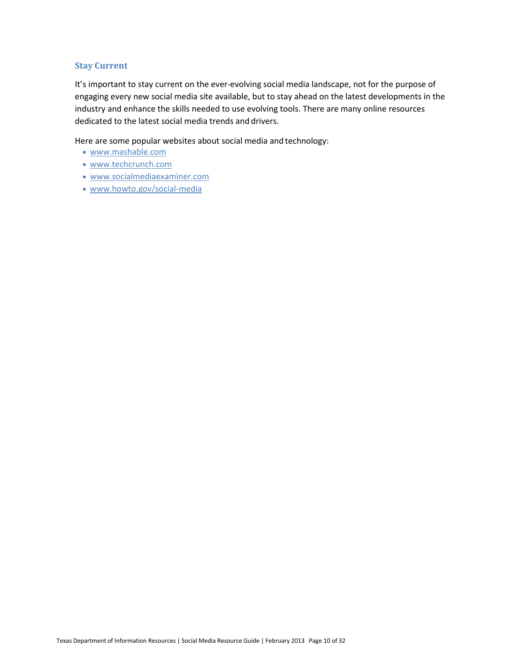#### **Stay Current**

It's important to stay current on the ever-evolving social media landscape, not for the purpose of engaging every new social media site available, but to stay ahead on the latest developments in the industry and enhance the skills needed to use evolving tools. There are many online resources dedicated to the latest social media trends and drivers.

Here are some popular websites about social media and technology:

- [www.mashable.com](http://www.mashable.com/)
- [www.techcrunch.com](http://www.techcrunch.com/)
- [www.socialmediaexaminer.com](http://www.socialmediaexaminer.com/)
- [www.howto.gov/social-media](http://www.howto.gov/social-media)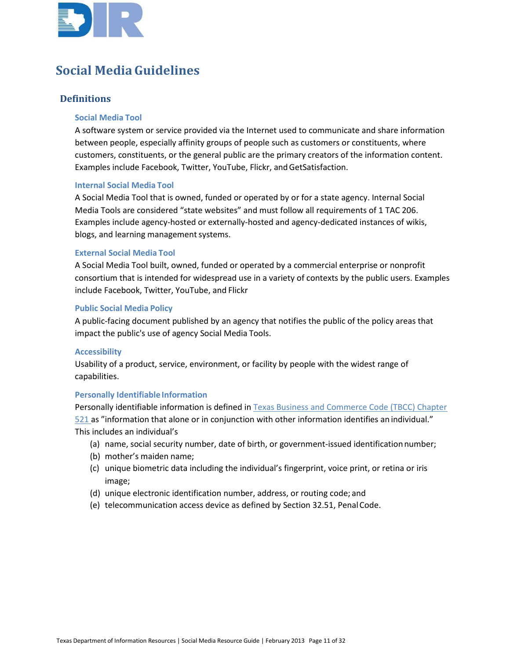

# **Social MediaGuidelines**

# **Definitions**

#### **Social Media Tool**

A software system or service provided via the Internet used to communicate and share information between people, especially affinity groups of people such as customers or constituents, where customers, constituents, or the general public are the primary creators of the information content. Examples include Facebook, Twitter, YouTube, Flickr, and GetSatisfaction.

#### **Internal Social Media Tool**

A Social Media Tool that is owned, funded or operated by or for a state agency. Internal Social Media Tools are considered "state websites" and must follow all requirements of 1 TAC 206. Examples include agency-hosted or externally-hosted and agency-dedicated instances of wikis, blogs, and learning management systems.

#### **External Social Media Tool**

A Social Media Tool built, owned, funded or operated by a commercial enterprise or nonprofit consortium that is intended for widespread use in a variety of contexts by the public users. Examples include Facebook, Twitter, YouTube, and Flickr

#### **Public Social Media Policy**

A public-facing document published by an agency that notifies the public of the policy areas that impact the public's use of agency Social Media Tools.

#### **Accessibility**

Usability of a product, service, environment, or facility by people with the widest range of capabilities.

#### **Personally Identifiable Information**

Personally identifiable information is defined in Texas Business and Commerce Code (TBCC) Chapter [521 a](http://www.statutes.legis.state.tx.us/Docs/BC/htm/BC.521.htm)s "information that alone or in conjunction with other information identifies an individual." This includes an individual's

- (a) name, social security number, date of birth, or government-issued identificationnumber;
- (b) mother's maiden name;
- (c) unique biometric data including the individual's fingerprint, voice print, or retina or iris image;
- (d) unique electronic identification number, address, or routing code; and
- (e) telecommunication access device as defined by Section 32.51, PenalCode.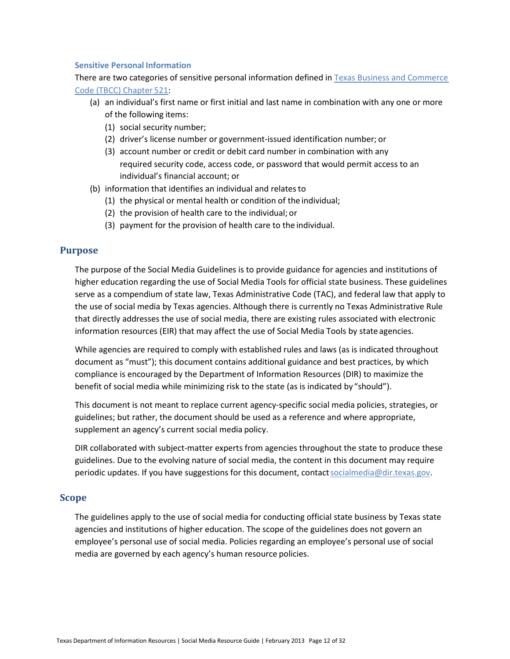#### **Sensitive Personal Information**

There are two categories of sensitive personal information defined i[n Texas Business and Commerce](http://www.statutes.legis.state.tx.us/Docs/BC/htm/BC.521.htm)  [Code \(TBCC\) Chapter](http://www.statutes.legis.state.tx.us/Docs/BC/htm/BC.521.htm) 521:

- (a) an individual's first name or first initial and last name in combination with any one or more of the following items:
	- (1) social security number;
	- (2) driver's license number or government-issued identification number; or
	- (3) account number or credit or debit card number in combination with any required security code, access code, or password that would permit access to an individual's financial account; or
- (b) information that identifies an individual and relates to
	- (1) the physical or mental health or condition of the individual;
	- (2) the provision of health care to the individual; or
	- (3) payment for the provision of health care to the individual.

## **Purpose**

The purpose of the Social Media Guidelines is to provide guidance for agencies and institutions of higher education regarding the use of Social Media Tools for official state business. These guidelines serve as a compendium of state law, Texas Administrative Code (TAC), and federal law that apply to the use of social media by Texas agencies. Although there is currently no Texas Administrative Rule that directly addresses the use of social media, there are existing rules associated with electronic information resources (EIR) that may affect the use of Social Media Tools by state agencies.

While agencies are required to comply with established rules and laws (as is indicated throughout document as "must"); this document contains additional guidance and best practices, by which compliance is encouraged by the Department of Information Resources (DIR) to maximize the benefit of social media while minimizing risk to the state (as is indicated by "should").

This document is not meant to replace current agency-specific social media policies, strategies, or guidelines; but rather, the document should be used as a reference and where appropriate, supplement an agency's current social media policy.

DIR collaborated with subject-matter experts from agencies throughout the state to produce these guidelines. Due to the evolving nature of social media, the content in this document may require periodic updates. If you have suggestions for this document, contact socialmedia@dir.texas.gov.

#### **Scope**

The guidelines apply to the use of social media for conducting official state business by Texas state agencies and institutions of higher education. The scope of the guidelines does not govern an employee's personal use of social media. Policies regarding an employee's personal use of social media are governed by each agency's human resource policies.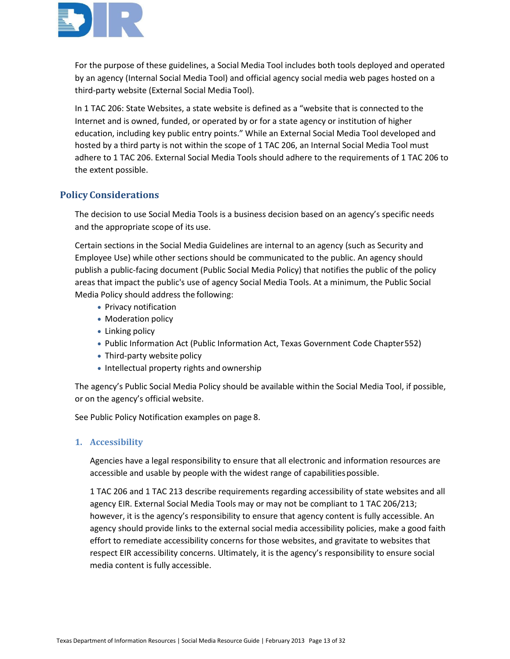

For the purpose of these guidelines, a Social Media Tool includes both tools deployed and operated by an agency (Internal Social Media Tool) and official agency social media web pages hosted on a third-party website (External Social Media Tool).

In 1 TAC 206: State Websites, a state website is defined as a "website that is connected to the Internet and is owned, funded, or operated by or for a state agency or institution of higher education, including key public entry points." While an External Social Media Tool developed and hosted by a third party is not within the scope of 1 TAC 206, an Internal Social Media Tool must adhere to 1 TAC 206. External Social Media Tools should adhere to the requirements of 1 TAC 206 to the extent possible.

# **Policy Considerations**

The decision to use Social Media Tools is a business decision based on an agency's specific needs and the appropriate scope of its use.

Certain sections in the Social Media Guidelines are internal to an agency (such as Security and Employee Use) while other sections should be communicated to the public. An agency should publish a public-facing document (Public Social Media Policy) that notifies the public of the policy areas that impact the public's use of agency Social Media Tools. At a minimum, the Public Social Media Policy should address the following:

- Privacy notification
- Moderation policy
- Linking policy
- Public Information Act (Public Information Act, Texas Government Code Chapter552)
- Third-party website policy
- Intellectual property rights and ownership

The agency's Public Social Media Policy should be available within the Social Media Tool, if possible, or on the agency's official website.

See Public Policy Notification examples on page 8.

#### **1. Accessibility**

Agencies have a legal responsibility to ensure that all electronic and information resources are accessible and usable by people with the widest range of capabilities possible.

1 TAC 206 and 1 TAC 213 describe requirements regarding accessibility of state websites and all agency EIR. External Social Media Tools may or may not be compliant to 1 TAC 206/213; however, it is the agency's responsibility to ensure that agency content is fully accessible. An agency should provide links to the external social media accessibility policies, make a good faith effort to remediate accessibility concerns for those websites, and gravitate to websites that respect EIR accessibility concerns. Ultimately, it is the agency's responsibility to ensure social media content is fully accessible.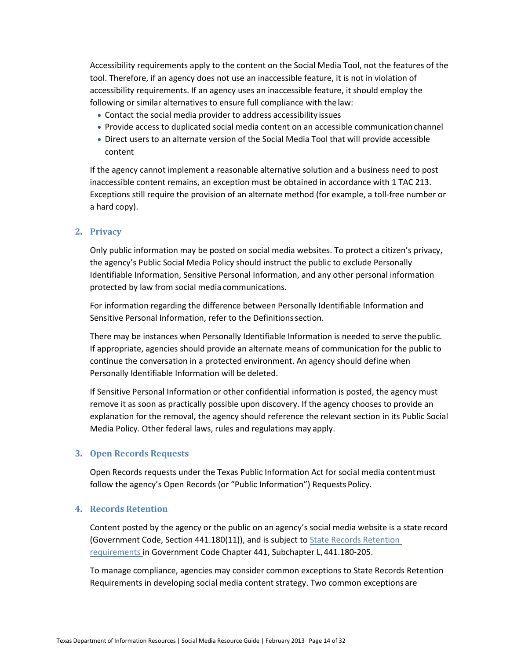Accessibility requirements apply to the content on the Social Media Tool, not the features of the tool. Therefore, if an agency does not use an inaccessible feature, it is not in violation of accessibility requirements. If an agency uses an inaccessible feature, it should employ the following or similar alternatives to ensure full compliance with the law:

- Contact the social media provider to address accessibility issues
- Provide access to duplicated social media content on an accessible communication channel
- Direct users to an alternate version of the Social Media Tool that will provide accessible content

If the agency cannot implement a reasonable alternative solution and a business need to post inaccessible content remains, an exception must be obtained in accordance with 1 TAC 213. Exceptions still require the provision of an alternate method (for example, a toll-free number or a hard copy).

#### **2. Privacy**

Only public information may be posted on social media websites. To protect a citizen's privacy, the agency's Public Social Media Policy should instruct the public to exclude Personally Identifiable Information, Sensitive Personal Information, and any other personal information protected by law from social media communications.

For information regarding the difference between Personally Identifiable Information and Sensitive Personal Information, refer to the Definitionssection.

There may be instances when Personally Identifiable Information is needed to serve thepublic. If appropriate, agencies should provide an alternate means of communication for the public to continue the conversation in a protected environment. An agency should define when Personally Identifiable Information will be deleted.

If Sensitive Personal Information or other confidential information is posted, the agency must remove it as soon as practically possible upon discovery. If the agency chooses to provide an explanation for the removal, the agency should reference the relevant section in its Public Social Media Policy. Other federal laws, rules and regulations may apply.

#### **3. Open Records Requests**

Open Records requests under the Texas Public Information Act for social media contentmust follow the agency's Open Records (or "Public Information") Requests Policy.

#### **4. Records Retention**

Content posted by the agency or the public on an agency's social media website is a state record (Government Code, Section 441.180(11)), and is subject to **State Records Retention** [requirements i](http://www.statutes.legis.state.tx.us/docs/GV/htm/GV.441.htm)n Government Code Chapter 441, Subchapter L,441.180-205.

To manage compliance, agencies may consider common exceptions to State Records Retention Requirements in developing social media content strategy. Two common exceptions are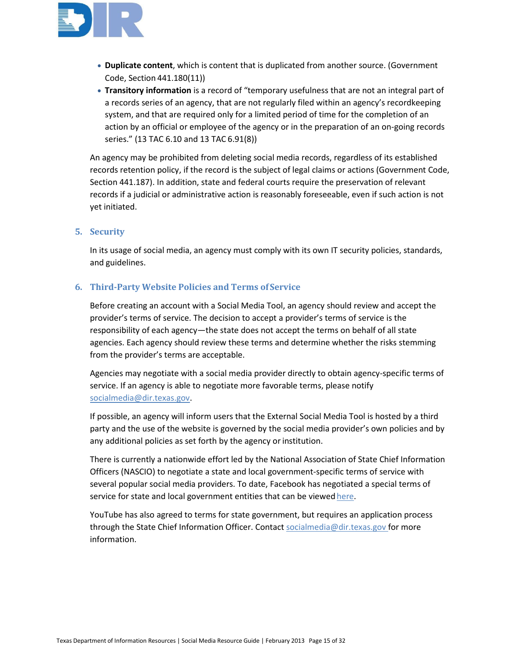

- **Duplicate content**, which is content that is duplicated from another source. (Government Code, Section 441.180(11))
- **Transitory information** is a record of "temporary usefulness that are not an integral part of a records series of an agency, that are not regularly filed within an agency's recordkeeping system, and that are required only for a limited period of time for the completion of an action by an official or employee of the agency or in the preparation of an on-going records series." (13 TAC 6.10 and 13 TAC 6.91(8))

An agency may be prohibited from deleting social media records, regardless of its established records retention policy, if the record is the subject of legal claims or actions (Government Code, Section 441.187). In addition, state and federal courts require the preservation of relevant records if a judicial or administrative action is reasonably foreseeable, even if such action is not yet initiated.

## **5. Security**

In its usage of social media, an agency must comply with its own IT security policies, standards, and guidelines.

## **6. Third-Party Website Policies and Terms of Service**

Before creating an account with a Social Media Tool, an agency should review and accept the provider's terms of service. The decision to accept a provider's terms of service is the responsibility of each agency—the state does not accept the terms on behalf of all state agencies. Each agency should review these terms and determine whether the risks stemming from the provider's terms are acceptable.

Agencies may negotiate with a social media provider directly to obtain agency-specific terms of service. If an agency is able to negotiate more favorable terms, please notify [socialmedia@dir.texas.gov.](mailto:socialmedia@dir.texas.gov)

If possible, an agency will inform users that the External Social Media Tool is hosted by a third party and the use of the website is governed by the social media provider's own policies and by any additional policies as set forth by the agency or institution.

There is currently a nationwide effort led by the National Association of State Chief Information Officers (NASCIO) to negotiate a state and local government-specific terms of service with several popular social media providers. To date, Facebook has negotiated a special terms of service for state and local government entities that can be viewed [here.](https://www.facebook.com/terms_pages_gov.php)

YouTube has also agreed to terms for state government, but requires an application process through the State Chief Information Officer. Contac[t socialmedia@dir.texas.gov f](mailto:socialmedia@dir.texas.gov)or more information.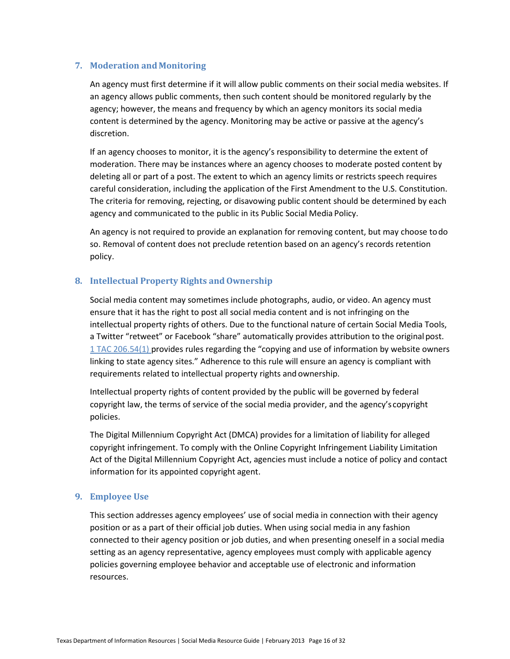#### **7. Moderation and Monitoring**

An agency must first determine if it will allow public comments on their social media websites. If an agency allows public comments, then such content should be monitored regularly by the agency; however, the means and frequency by which an agency monitors its social media content is determined by the agency. Monitoring may be active or passive at the agency's discretion.

If an agency chooses to monitor, it is the agency's responsibility to determine the extent of moderation. There may be instances where an agency chooses to moderate posted content by deleting all or part of a post. The extent to which an agency limits or restricts speech requires careful consideration, including the application of the First Amendment to the U.S. Constitution. The criteria for removing, rejecting, or disavowing public content should be determined by each agency and communicated to the public in its Public Social Media Policy.

An agency is not required to provide an explanation for removing content, but may choose todo so. Removal of content does not preclude retention based on an agency's records retention policy.

#### **8.** Intellectual Property Rights and Ownership

Social media content may sometimes include photographs, audio, or video. An agency must ensure that it has the right to post all social media content and is not infringing on the intellectual property rights of others. Due to the functional nature of certain Social Media Tools, a Twitter "retweet" or Facebook "share" automatically provides attribution to the originalpost. [1 TAC 206.54\(1\) p](http://texreg.sos.state.tx.us/public/readtac$ext.TacPage?sl=R&app=9&p_dir=&p_rloc=&p_tloc=&p_ploc=&pg=1&p_tac=&ti=1&pt=10&ch=206&rl=54)rovides rules regarding the "copying and use of information by website owners linking to state agency sites." Adherence to this rule will ensure an agency is compliant with requirements related to intellectual property rights and ownership.

Intellectual property rights of content provided by the public will be governed by federal copyright law, the terms of service of the social media provider, and the agency's copyright policies.

The Digital Millennium Copyright Act (DMCA) provides for a limitation of liability for alleged copyright infringement. To comply with the Online Copyright Infringement Liability Limitation Act of the Digital Millennium Copyright Act, agencies must include a notice of policy and contact information for its appointed copyright agent.

#### **9. Employee Use**

This section addresses agency employees' use of social media in connection with their agency position or as a part of their official job duties. When using social media in any fashion connected to their agency position or job duties, and when presenting oneself in a social media setting as an agency representative, agency employees must comply with applicable agency policies governing employee behavior and acceptable use of electronic and information resources.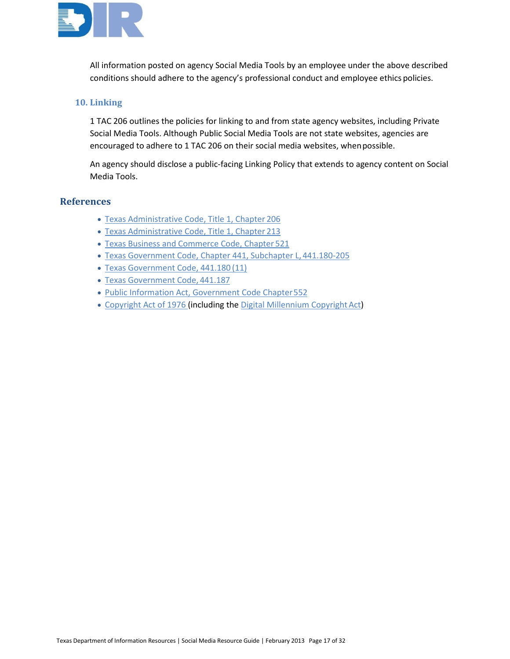

All information posted on agency Social Media Tools by an employee under the above described conditions should adhere to the agency's professional conduct and employee ethics policies.

#### **10. Linking**

1 TAC 206 outlines the policies for linking to and from state agency websites, including Private Social Media Tools. Although Public Social Media Tools are not state websites, agencies are encouraged to adhere to 1 TAC 206 on their social media websites, whenpossible.

An agency should disclose a public-facing Linking Policy that extends to agency content on Social Media Tools.

## **References**

- [Texas Administrative Code, Title 1, Chapter](http://texreg.sos.state.tx.us/public/readtac$ext.ViewTAC?tac_view=4&ti=1&pt=10&ch=206) 206
- [Texas Administrative Code, Title 1, Chapter](http://texreg.sos.state.tx.us/public/readtac$ext.ViewTAC?tac_view=4&ti=1&pt=10&ch=213) 213
- [Texas Business and Commerce Code, Chapter](http://www.statutes.legis.state.tx.us/Docs/BC/htm/BC.521.htm) 521
- [Texas Government Code, Chapter 441, Subchapter L,](http://www.statutes.legis.state.tx.us/docs/GV/htm/GV.441.htm) 441.180-205
- [Texas Government Code, 441.180](http://www.statutes.legis.state.tx.us/docs/GV/htm/GV.441.htm) (11)
- [Texas Government Code,](http://www.statutes.legis.state.tx.us/docs/GV/htm/GV.441.htm) 441.187
- [Public Information Act, Government Code Chapter552](http://www.statutes.legis.state.tx.us/Docs/GV/htm/GV.552.htm)
- [Copyright Act of 1976 \(](http://www.copyright.gov/title17)including the Digital Millennium Copyright Act)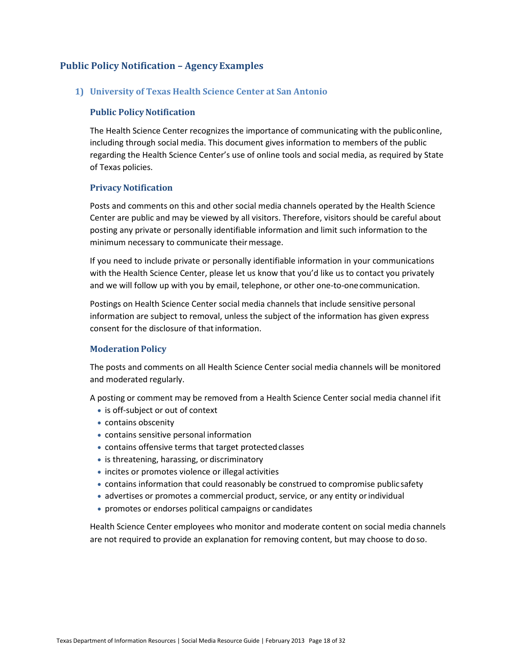# **Public Policy Notification – AgencyExamples**

## **1) University of Texas Health Science Center at San Antonio**

#### **Public Policy Notification**

The Health Science Center recognizes the importance of communicating with the publiconline, including through social media. This document gives information to members of the public regarding the Health Science Center's use of online tools and social media, as required by State of Texas policies.

## **Privacy Notification**

Posts and comments on this and other social media channels operated by the Health Science Center are public and may be viewed by all visitors. Therefore, visitors should be careful about posting any private or personally identifiable information and limit such information to the minimum necessary to communicate their message.

If you need to include private or personally identifiable information in your communications with the Health Science Center, please let us know that you'd like us to contact you privately and we will follow up with you by email, telephone, or other one-to-onecommunication.

Postings on Health Science Center social media channels that include sensitive personal information are subject to removal, unless the subject of the information has given express consent for the disclosure of that information.

#### **Moderation Policy**

The posts and comments on all Health Science Center social media channels will be monitored and moderated regularly.

A posting or comment may be removed from a Health Science Center social media channel ifit

- is off-subject or out of context
- contains obscenity
- contains sensitive personal information
- contains offensive terms that target protected classes
- is threatening, harassing, or discriminatory
- incites or promotes violence or illegal activities
- contains information that could reasonably be construed to compromise publicsafety
- advertises or promotes a commercial product, service, or any entity orindividual
- promotes or endorses political campaigns or candidates

Health Science Center employees who monitor and moderate content on social media channels are not required to provide an explanation for removing content, but may choose to doso.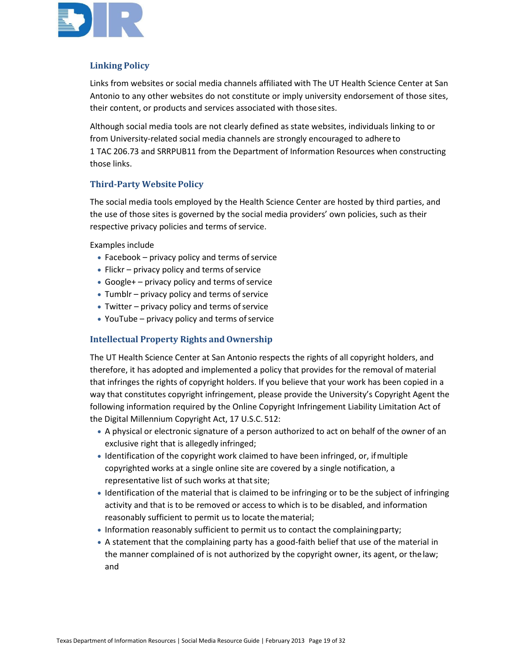

# **Linking Policy**

Links from websites or social media channels affiliated with The UT Health Science Center at San Antonio to any other websites do not constitute or imply university endorsement of those sites, their content, or products and services associated with thosesites.

Although social media tools are not clearly defined as state websites, individuals linking to or from University-related social media channels are strongly encouraged to adhereto 1 TAC 206.73 and SRRPUB11 from the Department of Information Resources when constructing those links.

# **Third-Party Website Policy**

The social media tools employed by the Health Science Center are hosted by third parties, and the use of those sites is governed by the social media providers' own policies, such as their respective privacy policies and terms of service.

Examples include

- Facebook  $-$  privacy policy and terms of service
- $\bullet$  Flickr privacy policy and terms of service
- Google + privacy policy and terms of service
- $\bullet$  Tumblr privacy policy and terms of service
- Twitter  $-$  privacy policy and terms of service
- YouTube  $-$  privacy policy and terms of service

#### **Intellectual Property Rights and Ownership**

The UT Health Science Center at San Antonio respects the rights of all copyright holders, and therefore, it has adopted and implemented a policy that provides for the removal of material that infringes the rights of copyright holders. If you believe that your work has been copied in a way that constitutes copyright infringement, please provide the University's Copyright Agent the following information required by the Online Copyright Infringement Liability Limitation Act of the Digital Millennium Copyright Act, 17 U.S.C. 512:

- A physical or electronic signature of a person authorized to act on behalf of the owner of an exclusive right that is allegedly infringed;
- Identification of the copyright work claimed to have been infringed, or, ifmultiple copyrighted works at a single online site are covered by a single notification, a representative list of such works at that site;
- Identification of the material that is claimed to be infringing or to be the subject of infringing activity and that is to be removed or access to which is to be disabled, and information reasonably sufficient to permit us to locate thematerial;
- Information reasonably sufficient to permit us to contact the complainingparty;
- A statement that the complaining party has a good-faith belief that use of the material in the manner complained of is not authorized by the copyright owner, its agent, or thelaw; and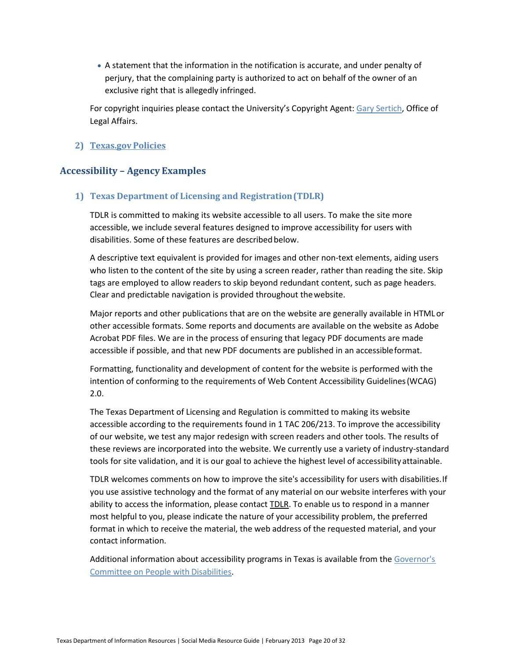• A statement that the information in the notification is accurate, and under penalty of perjury, that the complaining party is authorized to act on behalf of the owner of an exclusive right that is allegedly infringed.

For copyright inquiries please contact the University's Copyright Agent: [Gary Sertich,](mailto:sertich@uthscsa.edu) Office of Legal Affairs.

## **2) [Texas.gov](http://www.texas.gov/en/about/Pages/policies.aspx) Policies**

# **Accessibility – Agency Examples**

## **1) Texas Department of Licensing and Registration(TDLR)**

TDLR is committed to making its website accessible to all users. To make the site more accessible, we include several features designed to improve accessibility for users with disabilities. Some of these features are described below.

A descriptive text equivalent is provided for images and other non-text elements, aiding users who listen to the content of the site by using a screen reader, rather than reading the site. Skip tags are employed to allow readers to skip beyond redundant content, such as page headers. Clear and predictable navigation is provided throughout thewebsite.

Major reports and other publications that are on the website are generally available in HTMLor other accessible formats. Some reports and documents are available on the website as Adobe Acrobat PDF files. We are in the process of ensuring that legacy PDF documents are made accessible if possible, and that new PDF documents are published in an accessibleformat.

Formatting, functionality and development of content for the website is performed with the intention of conforming to the requirements of Web Content Accessibility Guidelines(WCAG) 2.0.

The Texas Department of Licensing and Regulation is committed to making its website accessible according to the requirements found in 1 TAC 206/213. To improve the accessibility of our website, we test any major redesign with screen readers and other tools. The results of these reviews are incorporated into the website. We currently use a variety of industry-standard tools for site validation, and it is our goal to achieve the highest level of accessibility attainable.

TDLR welcomes comments on how to improve the site's accessibility for users with disabilities.If you use assistive technology and the format of any material on our website interferes with your ability to access the information, please contact [TDLR.](mailto:access@license.state.tx.us) To enable us to respond in a manner most helpful to you, please indicate the nature of your accessibility problem, the preferred format in which to receive the material, the web address of the requested material, and your contact information.

Additional information about accessibility programs in Texas is available from the [Governor's](http://www.governor.state.tx.us/disabilities)  [Committee on People with](http://www.governor.state.tx.us/disabilities) Disabilities.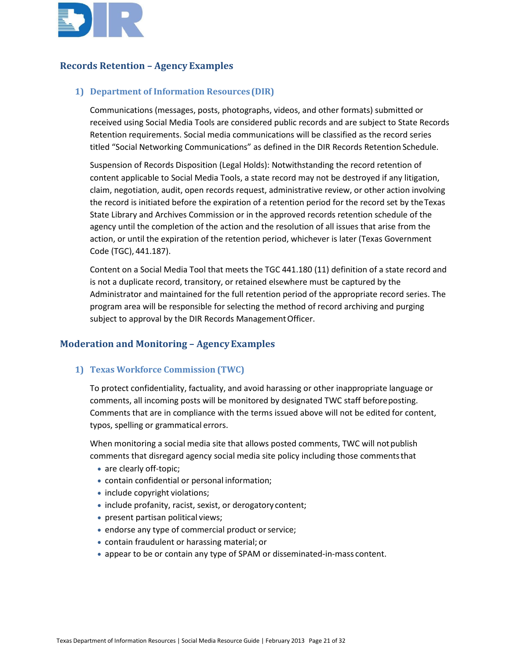

# **Records Retention – Agency Examples**

## **1) Department of Information Resources(DIR)**

Communications (messages, posts, photographs, videos, and other formats) submitted or received using Social Media Tools are considered public records and are subject to State Records Retention requirements. Social media communications will be classified as the record series titled "Social Networking Communications" as defined in the DIR Records Retention Schedule.

Suspension of Records Disposition (Legal Holds): Notwithstanding the record retention of content applicable to Social Media Tools, a state record may not be destroyed if any litigation, claim, negotiation, audit, open records request, administrative review, or other action involving the record is initiated before the expiration of a retention period for the record set by theTexas State Library and Archives Commission or in the approved records retention schedule of the agency until the completion of the action and the resolution of all issues that arise from the action, or until the expiration of the retention period, whichever is later (Texas Government Code (TGC), 441.187).

Content on a Social Media Tool that meets the TGC 441.180 (11) definition of a state record and is not a duplicate record, transitory, or retained elsewhere must be captured by the Administrator and maintained for the full retention period of the appropriate record series. The program area will be responsible for selecting the method of record archiving and purging subject to approval by the DIR Records Management Officer.

# **Moderation and Monitoring – AgencyExamples**

#### **1) Texas Workforce Commission (TWC)**

To protect confidentiality, factuality, and avoid harassing or other inappropriate language or comments, all incoming posts will be monitored by designated TWC staff beforeposting. Comments that are in compliance with the terms issued above will not be edited for content, typos, spelling or grammatical errors.

When monitoring a social media site that allows posted comments, TWC will notpublish comments that disregard agency social media site policy including those commentsthat

- are clearly off-topic;
- contain confidential or personal information;
- include copyright violations;
- include profanity, racist, sexist, or derogatory content;
- present partisan political views;
- endorse any type of commercial product or service;
- contain fraudulent or harassing material; or
- appear to be or contain any type of SPAM or disseminated-in-mass content.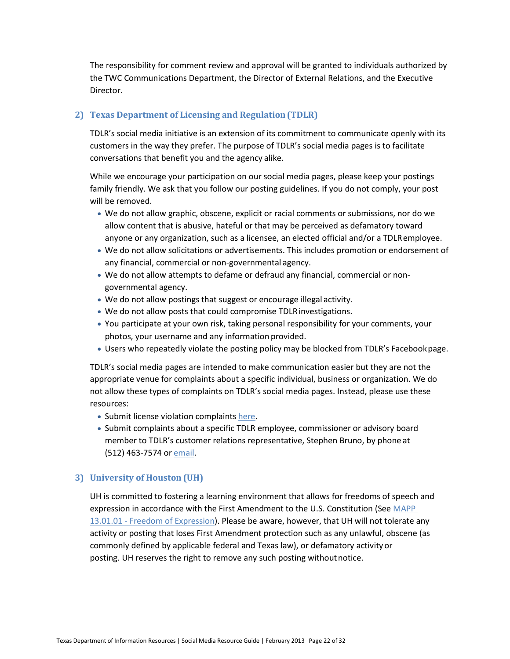The responsibility for comment review and approval will be granted to individuals authorized by the TWC Communications Department, the Director of External Relations, and the Executive Director.

## **2) Texas Department of Licensing and Regulation(TDLR)**

TDLR's social media initiative is an extension of its commitment to communicate openly with its customers in the way they prefer. The purpose of TDLR's social media pages is to facilitate conversations that benefit you and the agency alike.

While we encourage your participation on our social media pages, please keep your postings family friendly. We ask that you follow our posting guidelines. If you do not comply, your post will be removed.

- We do not allow graphic, obscene, explicit or racial comments or submissions, nor do we allow content that is abusive, hateful or that may be perceived as defamatory toward anyone or any organization, such as a licensee, an elected official and/or a TDLRemployee.
- We do not allow solicitations or advertisements. This includes promotion or endorsement of any financial, commercial or non-governmental agency.
- We do not allow attempts to defame or defraud any financial, commercial or nongovernmental agency.
- We do not allow postings that suggest or encourage illegal activity.
- We do not allow posts that could compromise TDLRinvestigations.
- You participate at your own risk, taking personal responsibility for your comments, your photos, your username and any information provided.
- Users who repeatedly violate the posting policy may be blocked from TDLR's Facebookpage.

TDLR's social media pages are intended to make communication easier but they are not the appropriate venue for complaints about a specific individual, business or organization. We do not allow these types of complaints on TDLR's social media pages. Instead, please use these resources:

- Submit license violation complaints [here.](https://www.license.state.tx.us/Complaints/)
- Submit complaints about a specific TDLR employee, commissioner or advisory board member to TDLR's customer relations representative, Stephen Bruno, by phone at (512) 463-7574 or [email.](mailto:stephen@license.state.tx.us)

#### **3) University of Houston (UH)**

UH is committed to fostering a learning environment that allows for freedoms of speech and expression in accordance with the First Amendment to the U.S. Constitution (See [MAPP](http://www.uh.edu/mapp/13/130101.pdf)  13.01.01 - [Freedom of Expression\)](http://www.uh.edu/mapp/13/130101.pdf). Please be aware, however, that UH will not tolerate any activity or posting that loses First Amendment protection such as any unlawful, obscene (as commonly defined by applicable federal and Texas law), or defamatory activityor posting. UH reserves the right to remove any such posting withoutnotice.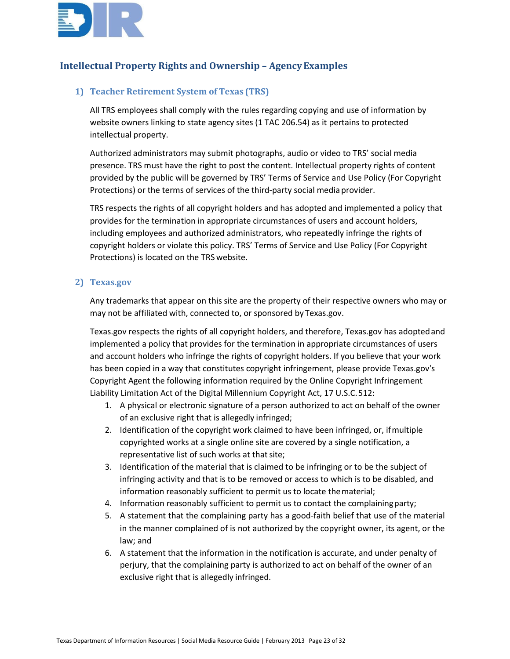

# **Intellectual Property Rights and Ownership – AgencyExamples**

## **1) Teacher Retirement System of Texas (TRS)**

All TRS employees shall comply with the rules regarding copying and use of information by website owners linking to state agency sites (1 TAC 206.54) as it pertains to protected intellectual property.

Authorized administrators may submit photographs, audio or video to TRS' social media presence. TRS must have the right to post the content. Intellectual property rights of content provided by the public will be governed by TRS' Terms of Service and Use Policy (For Copyright Protections) or the terms of services of the third-party social media provider.

TRS respects the rights of all copyright holders and has adopted and implemented a policy that provides for the termination in appropriate circumstances of users and account holders, including employees and authorized administrators, who repeatedly infringe the rights of copyright holders or violate this policy. TRS' Terms of Service and Use Policy (For Copyright Protections) is located on the TRS website.

#### **2) Texas.gov**

Any trademarks that appear on this site are the property of their respective owners who may or may not be affiliated with, connected to, or sponsored by Texas.gov.

Texas.gov respects the rights of all copyright holders, and therefore, Texas.gov has adoptedand implemented a policy that provides for the termination in appropriate circumstances of users and account holders who infringe the rights of copyright holders. If you believe that your work has been copied in a way that constitutes copyright infringement, please provide Texas.gov's Copyright Agent the following information required by the Online Copyright Infringement Liability Limitation Act of the Digital Millennium Copyright Act, 17 U.S.C.512:

- 1. A physical or electronic signature of a person authorized to act on behalf of the owner of an exclusive right that is allegedly infringed;
- 2. Identification of the copyright work claimed to have been infringed, or, ifmultiple copyrighted works at a single online site are covered by a single notification, a representative list of such works at that site;
- 3. Identification of the material that is claimed to be infringing or to be the subject of infringing activity and that is to be removed or access to which is to be disabled, and information reasonably sufficient to permit us to locate thematerial;
- 4. Information reasonably sufficient to permit us to contact the complainingparty;
- 5. A statement that the complaining party has a good-faith belief that use of the material in the manner complained of is not authorized by the copyright owner, its agent, or the law; and
- 6. A statement that the information in the notification is accurate, and under penalty of perjury, that the complaining party is authorized to act on behalf of the owner of an exclusive right that is allegedly infringed.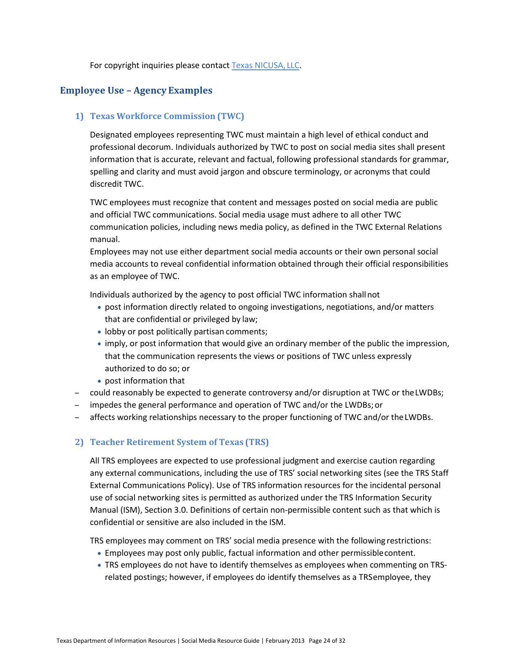For copyright inquiries please contact [Texas NICUSA,](mailto:copyrightagent@egov.com) LLC.

# **Employee Use – Agency Examples**

## **1) Texas Workforce Commission (TWC)**

Designated employees representing TWC must maintain a high level of ethical conduct and professional decorum. Individuals authorized by TWC to post on social media sites shall present information that is accurate, relevant and factual, following professional standards for grammar, spelling and clarity and must avoid jargon and obscure terminology, or acronyms that could discredit TWC.

TWC employees must recognize that content and messages posted on social media are public and official TWC communications. Social media usage must adhere to all other TWC communication policies, including news media policy, as defined in the TWC External Relations manual.

Employees may not use either department social media accounts or their own personal social media accounts to reveal confidential information obtained through their official responsibilities as an employee of TWC.

Individuals authorized by the agency to post official TWC information shallnot

- post information directly related to ongoing investigations, negotiations, and/or matters that are confidential or privileged by law;
- lobby or post politically partisan comments;
- imply, or post information that would give an ordinary member of the public the impression, that the communication represents the views or positions of TWC unless expressly authorized to do so; or
- post information that
- could reasonably be expected to generate controversy and/or disruption at TWC or theLWDBs;
- impedes the general performance and operation of TWC and/or the LWDBs; or
- affects working relationships necessary to the proper functioning of TWC and/or theLWDBs.

# **2) Teacher Retirement System of Texas (TRS)**

All TRS employees are expected to use professional judgment and exercise caution regarding any external communications, including the use of TRS' social networking sites (see the TRS Staff External Communications Policy). Use of TRS information resources for the incidental personal use of social networking sites is permitted as authorized under the TRS Information Security Manual (ISM), Section 3.0. Definitions of certain non-permissible content such as that which is confidential or sensitive are also included in the ISM.

TRS employees may comment on TRS' social media presence with the following restrictions:

- Employees may post only public, factual information and other permissiblecontent.
- TRS employees do not have to identify themselves as employees when commenting on TRSrelated postings; however, if employees do identify themselves as a TRSemployee, they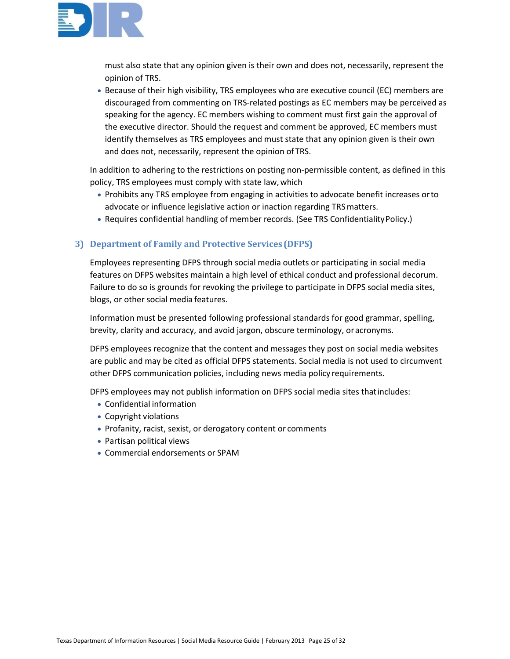

must also state that any opinion given is their own and does not, necessarily, represent the opinion of TRS.

• Because of their high visibility, TRS employees who are executive council (EC) members are discouraged from commenting on TRS-related postings as EC members may be perceived as speaking for the agency. EC members wishing to comment must first gain the approval of the executive director. Should the request and comment be approved, EC members must identify themselves as TRS employees and must state that any opinion given is their own and does not, necessarily, represent the opinion ofTRS.

In addition to adhering to the restrictions on posting non-permissible content, as defined in this policy, TRS employees must comply with state law,which

- Prohibits any TRS employee from engaging in activities to advocate benefit increases orto advocate or influence legislative action or inaction regarding TRSmatters.
- Requires confidential handling of member records. (See TRS ConfidentialityPolicy.)

# **3) Department of Family and Protective Services(DFPS)**

Employees representing DFPS through social media outlets or participating in social media features on DFPS websites maintain a high level of ethical conduct and professional decorum. Failure to do so is grounds for revoking the privilege to participate in DFPS social media sites, blogs, or other social media features.

Information must be presented following professional standards for good grammar, spelling, brevity, clarity and accuracy, and avoid jargon, obscure terminology, oracronyms.

DFPS employees recognize that the content and messages they post on social media websites are public and may be cited as official DFPS statements. Social media is not used to circumvent other DFPS communication policies, including news media policy requirements.

DFPS employees may not publish information on DFPS social media sites thatincludes:

- Confidential information
- Copyright violations
- Profanity, racist, sexist, or derogatory content or comments
- Partisan political views
- Commercial endorsements or SPAM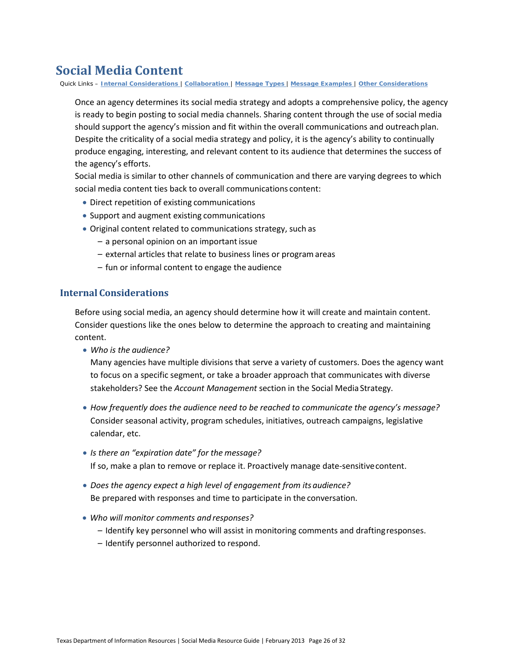# **Social Media Content**

Quick Links – **Internal [Considerations](#page-25-0)** | **[Collaboration](#page-26-0)** | **[Message](#page-27-0) Types** | **Message [Examples](#page-29-0)** | **Other [Considerations](#page-30-0)**

Once an agency determines its social media strategy and adopts a comprehensive policy, the agency is ready to begin posting to social media channels. Sharing content through the use of social media should support the agency's mission and fit within the overall communications and outreach plan. Despite the criticality of a social media strategy and policy, it is the agency's ability to continually produce engaging, interesting, and relevant content to its audience that determines the success of the agency's efforts.

Social media is similar to other channels of communication and there are varying degrees to which social media content ties back to overall communications content:

- Direct repetition of existing communications
- Support and augment existing communications
- Original content related to communications strategy, such as
	- a personal opinion on an important issue
	- external articles that relate to business lines or programareas
	- fun or informal content to engage the audience

## <span id="page-25-0"></span>**Internal Considerations**

Before using social media, an agency should determine how it will create and maintain content. Consider questions like the ones below to determine the approach to creating and maintaining content.

• *Who is the audience?*

Many agencies have multiple divisions that serve a variety of customers. Does the agency want to focus on a specific segment, or take a broader approach that communicates with diverse stakeholders? See the *Account Management* section in the Social Media Strategy.

- *How frequently does the audience need to be reached to communicate the agency's message?*  Consider seasonal activity, program schedules, initiatives, outreach campaigns, legislative calendar, etc.
- *Is there an "expiration date" for the message?* If so, make a plan to remove or replace it. Proactively manage date-sensitivecontent.
- *Does the agency expect a high level of engagement from its audience?* Be prepared with responses and time to participate in the conversation.
- *Who will monitor comments and responses?*
	- Identify key personnel who will assist in monitoring comments and draftingresponses.
	- Identify personnel authorized to respond.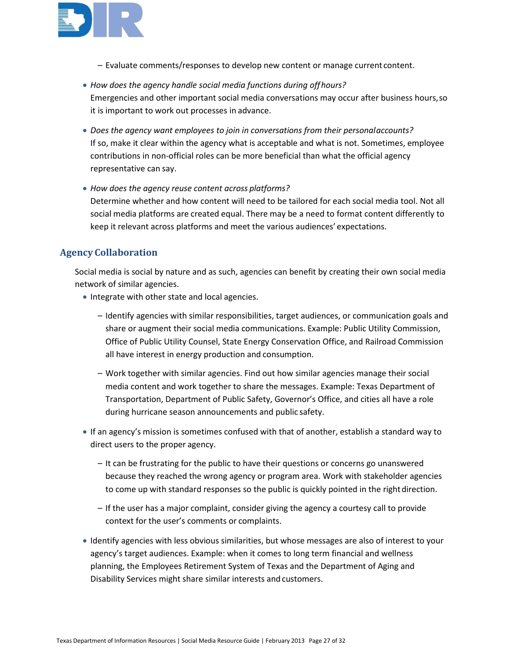

- Evaluate comments/responses to develop new content or manage current content.
- *How does the agency handle social media functions during offhours?* Emergencies and other important social media conversations may occur after business hours,so it is important to work out processes in advance.
- *Does the agency want employees to join in conversations from their personalaccounts?* If so, make it clear within the agency what is acceptable and what is not. Sometimes, employee contributions in non-official roles can be more beneficial than what the official agency representative can say.
- *How does the agency reuse content across platforms?* Determine whether and how content will need to be tailored for each social media tool. Not all social media platforms are created equal. There may be a need to format content differently to keep it relevant across platforms and meet the various audiences' expectations.

# <span id="page-26-0"></span>**Agency Collaboration**

Social media is social by nature and as such, agencies can benefit by creating their own social media network of similar agencies.

- Integrate with other state and local agencies.
	- Identify agencies with similar responsibilities, target audiences, or communication goals and share or augment their social media communications. Example: Public Utility Commission, Office of Public Utility Counsel, State Energy Conservation Office, and Railroad Commission all have interest in energy production and consumption.
	- Work together with similar agencies. Find out how similar agencies manage their social media content and work together to share the messages. Example: Texas Department of Transportation, Department of Public Safety, Governor's Office, and cities all have a role during hurricane season announcements and public safety.
- If an agency's mission is sometimes confused with that of another, establish a standard way to direct users to the proper agency.
	- It can be frustrating for the public to have their questions or concerns go unanswered because they reached the wrong agency or program area. Work with stakeholder agencies to come up with standard responses so the public is quickly pointed in the right direction.
	- If the user has a major complaint, consider giving the agency a courtesy call to provide context for the user's comments or complaints.
- Identify agencies with less obvious similarities, but whose messages are also of interest to your agency's target audiences. Example: when it comes to long term financial and wellness planning, the Employees Retirement System of Texas and the Department of Aging and Disability Services might share similar interests and customers.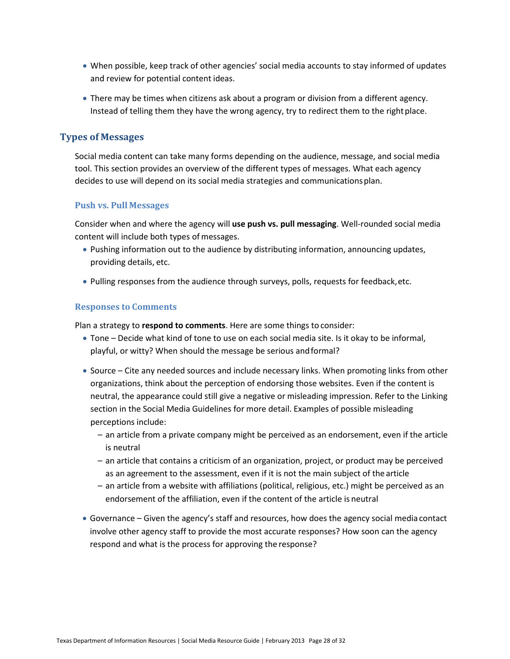- When possible, keep track of other agencies' social media accounts to stay informed of updates and review for potential content ideas.
- There may be times when citizens ask about a program or division from a different agency. Instead of telling them they have the wrong agency, try to redirect them to the right place.

# <span id="page-27-0"></span>**Types of Messages**

Social media content can take many forms depending on the audience, message, and social media tool. This section provides an overview of the different types of messages. What each agency decides to use will depend on its social media strategies and communicationsplan.

#### **Push vs. Pull Messages**

Consider when and where the agency will **use push vs. pull messaging**. Well-rounded social media content will include both types of messages.

- Pushing information out to the audience by distributing information, announcing updates, providing details, etc.
- Pulling responses from the audience through surveys, polls, requests for feedback,etc.

## **Responses to Comments**

Plan a strategy to **respond to comments**. Here are some things to consider:

- Tone Decide what kind of tone to use on each social media site. Is it okay to be informal, playful, or witty? When should the message be serious andformal?
- Source Cite any needed sources and include necessary links. When promoting links from other organizations, think about the perception of endorsing those websites. Even if the content is neutral, the appearance could still give a negative or misleading impression. Refer to the Linking section in the Social Media Guidelines for more detail. Examples of possible misleading perceptions include:
	- an article from a private company might be perceived as an endorsement, even if the article is neutral
	- an article that contains a criticism of an organization, project, or product may be perceived as an agreement to the assessment, even if it is not the main subject of the article
	- an article from a website with affiliations (political, religious, etc.) might be perceived as an endorsement of the affiliation, even if the content of the article is neutral
- Governance Given the agency's staff and resources, how does the agency social media contact involve other agency staff to provide the most accurate responses? How soon can the agency respond and what is the process for approving the response?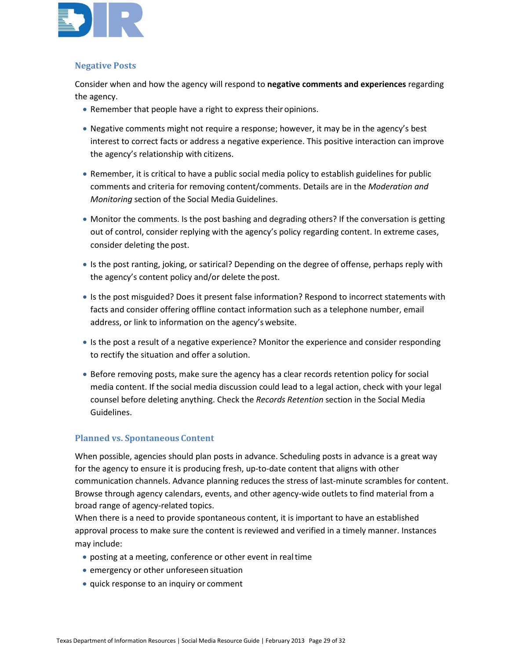

#### **Negative Posts**

Consider when and how the agency will respond to **negative comments and experiences** regarding the agency.

- Remember that people have a right to express their opinions.
- Negative comments might not require a response; however, it may be in the agency's best interest to correct facts or address a negative experience. This positive interaction can improve the agency's relationship with citizens.
- Remember, it is critical to have a public social media policy to establish guidelines for public comments and criteria for removing content/comments. Details are in the *Moderation and Monitoring* section of the Social Media Guidelines.
- Monitor the comments. Is the post bashing and degrading others? If the conversation is getting out of control, consider replying with the agency's policy regarding content. In extreme cases, consider deleting the post.
- Is the post ranting, joking, or satirical? Depending on the degree of offense, perhaps reply with the agency's content policy and/or delete the post.
- Is the post misguided? Does it present false information? Respond to incorrect statements with facts and consider offering offline contact information such as a telephone number, email address, or link to information on the agency's website.
- Is the post a result of a negative experience? Monitor the experience and consider responding to rectify the situation and offer a solution.
- Before removing posts, make sure the agency has a clear records retention policy for social media content. If the social media discussion could lead to a legal action, check with your legal counsel before deleting anything. Check the *Records Retention* section in the Social Media Guidelines.

# **Planned vs. Spontaneous Content**

When possible, agencies should plan posts in advance. Scheduling posts in advance is a great way for the agency to ensure it is producing fresh, up-to-date content that aligns with other communication channels. Advance planning reduces the stress of last-minute scrambles for content. Browse through agency calendars, events, and other agency-wide outlets to find material from a broad range of agency-related topics.

When there is a need to provide spontaneous content, it is important to have an established approval process to make sure the content is reviewed and verified in a timely manner. Instances may include:

- posting at a meeting, conference or other event in realtime
- emergency or other unforeseen situation
- quick response to an inquiry or comment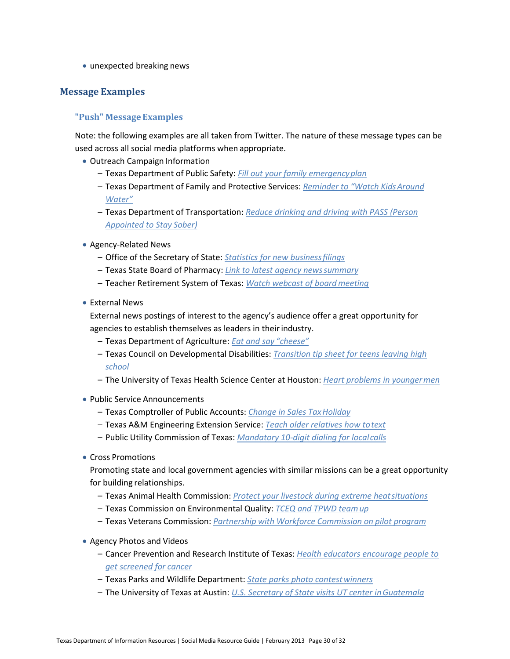• unexpected breaking news

# <span id="page-29-0"></span>**Message Examples**

## **"Push" Message Examples**

Note: the following examples are all taken from Twitter. The nature of these message types can be used across all social media platforms when appropriate.

- Outreach Campaign Information
	- Texas Department of Public Safety: *[Fill out your family emergencyplan](https://twitter.com/TxDPS/status/347096527606534144)*
	- Texas Department of Family and Protective Services: *[Reminder to "Watch KidsAround](https://twitter.com/TexasDFPS/status/337965685684723713) [Water"](https://twitter.com/TexasDFPS/status/337965685684723713)*
	- Texas Department of Transportation: *[Reduce drinking and driving with PASS \(Person](https://twitter.com/TxDOT/status/348147372221661184)  [Appointed to Stay](https://twitter.com/TxDOT/status/348147372221661184) Sober)*
- Agency-Related News
	- Office of the Secretary of State: *[Statistics for new businessfilings](https://twitter.com/TXsecofstate/status/342328685157818368)*
	- Texas State Board of Pharmacy: *[Link to latest agency newssummary](https://twitter.com/txpharmacyboard/status/329274056635457537)*
	- Teacher Retirement System of Texas: *[Watch webcast of boardmeeting](https://twitter.com/TRSofTexas/status/347044534741520385)*
- External News

External news postings of interest to the agency's audience offer a great opportunity for agencies to establish themselves as leaders in their industry.

- Texas Department of Agriculture: *[Eat and say](https://twitter.com/TexasDeptofAg/status/346996375831068673) "cheese"*
- Texas Council on Developmental Disabilities: *[Transition tip sheet for teens leaving high](https://twitter.com/TxCDD/status/344485378419462144)  [school](https://twitter.com/TxCDD/status/344485378419462144)*
- The University of Texas Health Science Center at Houston: *[Heart problems in youngermen](https://twitter.com/UTHealth/status/348052438038769664)*
- Public Service Announcements
	- Texas Comptroller of Public Accounts: *[Change in Sales TaxHoliday](https://twitter.com/txcomptroller/status/347005097131257858)*
	- Texas A&M Engineering Extension Service: *[Teach older relatives how totext](https://twitter.com/teextweet/status/348135585065611265)*
	- Public Utility Commission of Texas: *[Mandatory 10-digit dialing for localcalls](https://twitter.com/PUCTX/status/340471047079993345)*
- Cross Promotions

Promoting state and local government agencies with similar missions can be a great opportunity for building relationships.

- Texas Animal Health Commission: *[Protect your livestock during extreme heatsituations](https://twitter.com/TAHC/status/345222678262738944)*
- Texas Commission on Environmental Quality: *[TCEQ and TPWD teamup](https://twitter.com/TCEQNews/status/341936909951582209)*
- Texas Veterans Commission: *Partnership with Workforce [Commission](https://twitter.com/texasveterans/status/344948221950431232) on pilot program*
- Agency Photos and Videos
	- Cancer Prevention and Research Institute of Texas: *[Health educators encourage people to](https://twitter.com/CPRITTexas/status/331503767268782080)  [get screened for](https://twitter.com/CPRITTexas/status/331503767268782080) cancer*
	- Texas Parks and Wildlife Department: *[State parks photo contestwinners](https://twitter.com/TPWDnews/status/340482990108966914)*
	- The University of Texas at Austin: *[U.S. Secretary of State visits UT center inGuatemala](https://twitter.com/UTAustin/status/347818543175319552)*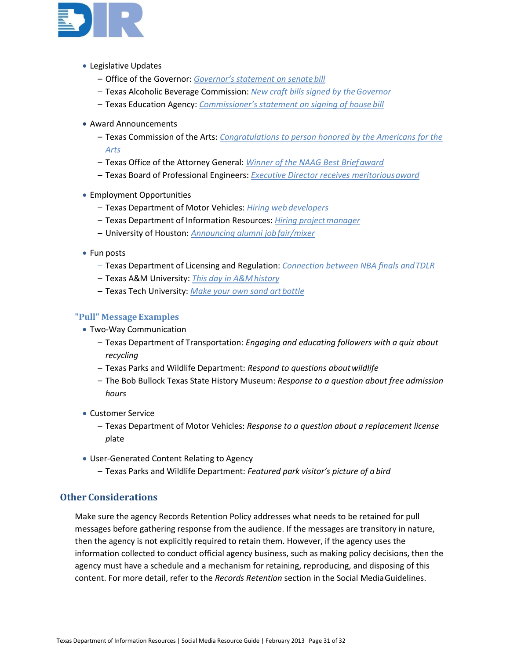

- Legislative Updates
	- Office of the Governor: *[Governor's statement on senate](https://twitter.com/TexGov/status/345597361768243200) bill*
	- Texas Alcoholic Beverage Commission: *[New craft bills signed by theGovernor](https://twitter.com/TexasABC/status/346052846908760064)*
	- Texas Education Agency: *[Commissioner's statement on signing of house](https://twitter.com/teainfo/status/344145630605754368) bill*
- Award Announcements
	- Texas Commission of the Arts: *[Congratulations to person honored by the Americans for the](https://twitter.com/TXCommArts/status/347145245441536002)  [Arts](https://twitter.com/TXCommArts/status/347145245441536002)*
	- Texas Office of the Attorney General: *[Winner of the NAAG Best Briefaward](https://twitter.com/TXAGsOffice/status/347468881134227458)*
	- Texas Board of Professional Engineers: *[Executive Director receives meritoriousaward](https://twitter.com/TBPE_Exec/status/336858384953393154)*
- Employment Opportunities
	- Texas Department of Motor Vehicles: *[Hiring web](https://twitter.com/TxDMV/status/341288835805745153) developers*
	- Texas Department of Information Resources: *[Hiring projectmanager](https://twitter.com/TexasDIR/status/346647346324582400)*
	- University of Houston: *[Announcing alumni jobfair/mixer](https://twitter.com/UH_Cougars/status/346731113999392768)*
- Fun posts
	- Texas Department of Licensing and Regulation: *[Connection between NBA finals andTDLR](https://twitter.com/tdlrlicense/status/347851847974936577)*
	- Texas A&M University: *[This day in A&Mhistory](https://twitter.com/TAMU/status/347734622479740928)*
	- Texas Tech University: *[Make your own sand art](https://twitter.com/TexasTech/status/347383304842014720) bottle*

#### **"Pull" Message Examples**

- Two-Way Communication
	- Texas Department of Transportation: *Engaging and educating followers with a quiz about recycling*
	- Texas Parks and Wildlife Department: *Respond to questions aboutwildlife*
	- The Bob Bullock Texas State History Museum: *Response to a question about free admission hours*
- Customer Service
	- Texas Department of Motor Vehicles: *Response to a question about a replacement license p*late
- User-Generated Content Relating to Agency
	- Texas Parks and Wildlife Department: *Featured park visitor's picture of a bird*

# <span id="page-30-0"></span>**Other Considerations**

Make sure the agency Records Retention Policy addresses what needs to be retained for pull messages before gathering response from the audience. If the messages are transitory in nature, then the agency is not explicitly required to retain them. However, if the agency uses the information collected to conduct official agency business, such as making policy decisions, then the agency must have a schedule and a mechanism for retaining, reproducing, and disposing of this content. For more detail, refer to the *Records Retention* section in the Social MediaGuidelines.